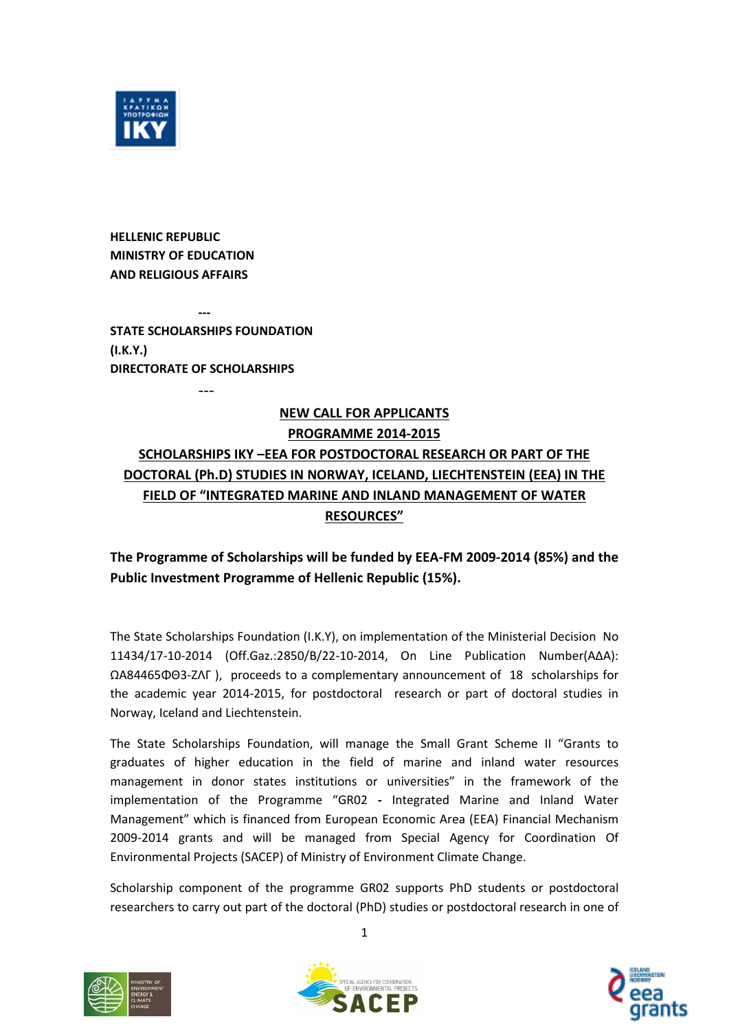

**HELLENIC REPUBLIC MINISTRY OF EDUCATION AND RELIGIOUS AFFAIRS**

**--- STATE SCHOLARSHIPS FOUNDATION (I.K.Y.) DIRECTORATE OF SCHOLARSHIPS**

---

# **NEW CALL FOR APPLICANTS PROGRAMME 2014-2015 SCHOLARSHIPS ΙΚΥ –ΕΕΑ FOR POSTDOCTORAL RESEARCH OR PART OF THE DOCTORAL (Ph.D) STUDIES IN NORWAY, ICELAND, LIECHTENSTΕΙΝ (EEA) IN THE FIELD OF "INTEGRATED MARINE AND INLAND MANAGEMENT OF WATER RESOURCES"**

# **The Programme of Scholarships will be funded by EEA-FM 2009-2014 (85%) and the Public Investment Programme of Hellenic Republic (15%).**

The State Scholarships Foundation (I.K.Y), on implementation of the Ministerial Decision No 11434/17-10-2014 (Off.Gaz.:2850/B/22-10-2014, On Line Publication Number(AΔA): ΩΑ84465ΦΘ3-ΖΛΓ ), proceeds to a complementary announcement of 18 scholarships for the academic year 2014-2015, for postdoctoral research or part of doctoral studies in Norway, Iceland and Liechtenstein.

The State Scholarships Foundation, will manage the Small Grant Scheme II "Grants to graduates of higher education in the field of marine and inland water resources management in donor states institutions or universities" in the framework of the implementation of the Programme "GR02 **-** Integrated Marine and Inland Water Management" which is financed from European Economic Area (EEA) Financial Mechanism 2009-2014 grants and will be managed from Special Agency for Coordination Of Environmental Projects (SACEP) of Ministry of Environment Climate Change.

Scholarship component of the programme GR02 supports PhD students or postdoctoral researchers to carry out part of the doctoral (PhD) studies or postdoctoral research in one of







1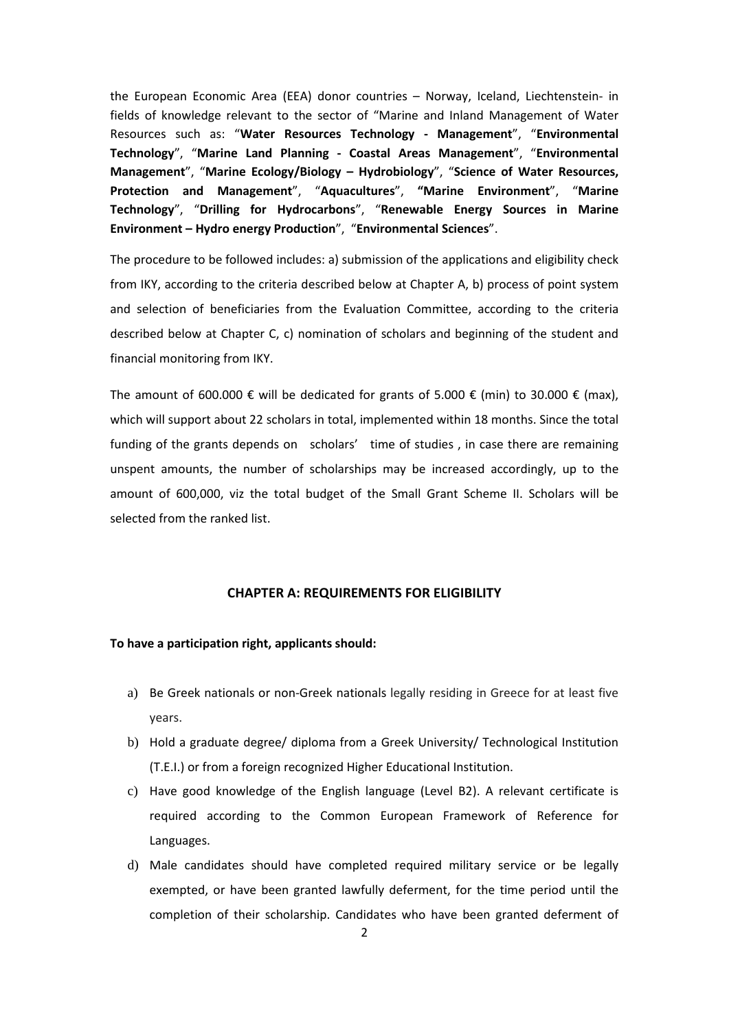the European Economic Area (EEA) donor countries – Norway, Iceland, Liechtenstein- in fields of knowledge relevant to the sector of "Marine and Inland Management of Water Resources such as: "**Water Resources Technology - Management**", "**Environmental Technology**", "**Marine Land Planning - Coastal Areas Management**", "**Environmental Management**", "**Marine Ecology/Biology – Hydrobiology**", "**Science of Water Resources, Protection and Management**", "**Aquacultures**", **"Marine Environment**", "**Marine Technology**", "**Drilling for Hydrocarbons**", "**Renewable Energy Sources in Marine Environment – Hydro energy Production**", "**Environmental Sciences**".

The procedure to be followed includes: a) submission of the applications and eligibility check from IKY, according to the criteria described below at Chapter A, b) process of point system and selection of beneficiaries from the Evaluation Committee, according to the criteria described below at Chapter C, c) nomination of scholars and beginning of the student and financial monitoring from ΙΚΥ.

The amount of 600.000  $\epsilon$  will be dedicated for grants of 5.000  $\epsilon$  (min) to 30.000  $\epsilon$  (max), which will support about 22 scholars in total, implemented within 18 months. Since the total funding of the grants depends on scholars' time of studies , in case there are remaining unspent amounts, the number of scholarships may be increased accordingly, up to the amount of 600,000, viz the total budget of the Small Grant Scheme II. Scholars will be selected from the ranked list.

#### **CHAPTER A: REQUIREMENTS FOR ELIGIBILITY**

#### **To have a participation right, applicants should:**

- a) Be Greek nationals or non-Greek nationals legally residing in Greece for at least five years.
- b) Hold a graduate degree/ diploma from a Greek University/ Technological Institution (T.E.I.) or from a foreign recognized Higher Educational Institution.
- c) Have good knowledge of the English language (Level B2). A relevant certificate is required according to the Common European Framework of Reference for Languages.
- d) Male candidates should have completed required military service or be legally exempted, or have been granted lawfully deferment, for the time period until the completion of their scholarship. Candidates who have been granted deferment of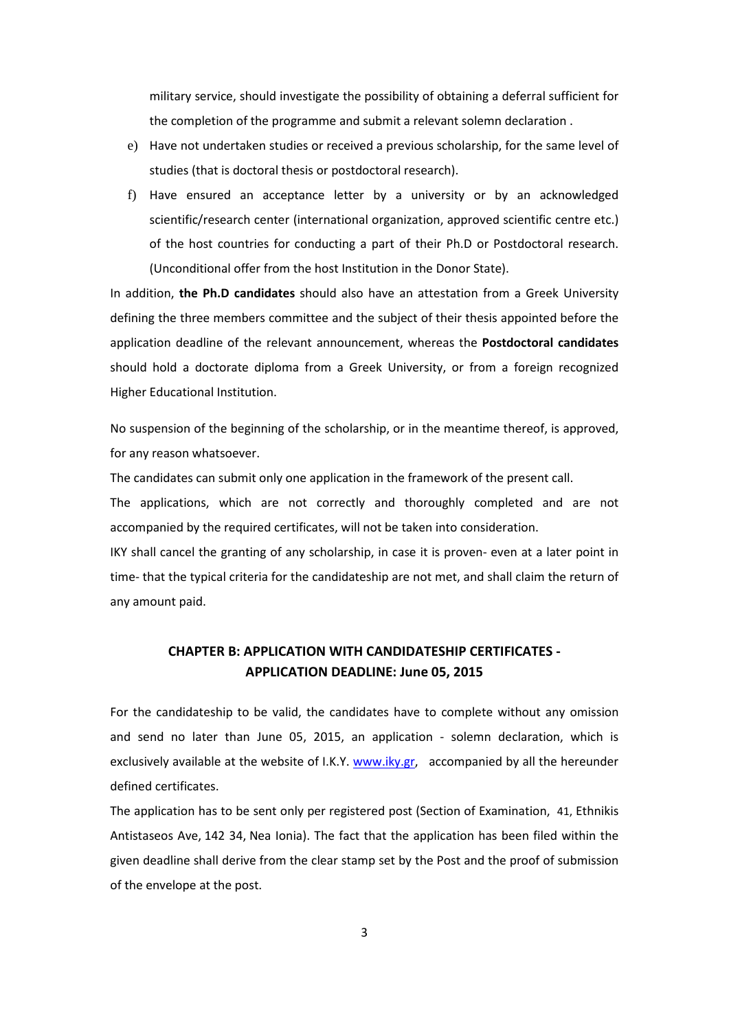military service, should investigate the possibility of obtaining a deferral sufficient for the completion of the programme and submit a relevant solemn declaration .

- e) Have not undertaken studies or received a previous scholarship, for the same level of studies (that is doctoral thesis or postdoctoral research).
- f) Have ensured an acceptance letter by a university or by an acknowledged scientific/research center (international organization, approved scientific centre etc.) of the host countries for conducting a part of their Ph.D or Postdoctoral research. (Unconditional offer from the host Institution in the Donor State).

In addition, **the Ph.D candidates** should also have an attestation from a Greek University defining the three members committee and the subject of their thesis appointed before the application deadline of the relevant announcement, whereas the **Postdoctoral candidates** should hold a doctorate diploma from a Greek University, or from a foreign recognized Higher Educational Institution.

No suspension of the beginning of the scholarship, or in the meantime thereof, is approved, for any reason whatsoever.

The candidates can submit only one application in the framework of the present call.

The applications, which are not correctly and thoroughly completed and are not accompanied by the required certificates, will not be taken into consideration.

IKY shall cancel the granting of any scholarship, in case it is proven- even at a later point in time- that the typical criteria for the candidateship are not met, and shall claim the return of any amount paid.

# **CHAPTER B: APPLICATION WITH CANDIDATESHIP CERTIFICATES - APPLICATION DEADLINE: June 05, 2015**

For the candidateship to be valid, the candidates have to complete without any omission and send no later than June 05, 2015, an application - solemn declaration, which is exclusively available at the website of I.K.Y. [www.iky.gr,](http://www.iky.gr/) accompanied by all the hereunder defined certificates.

The application has to be sent only per registered post (Section of Examination, 41, Ethnikis Antistaseos Ave, 142 34, Nea Ionia). The fact that the application has been filed within the given deadline shall derive from the clear stamp set by the Post and the proof of submission of the envelope at the post.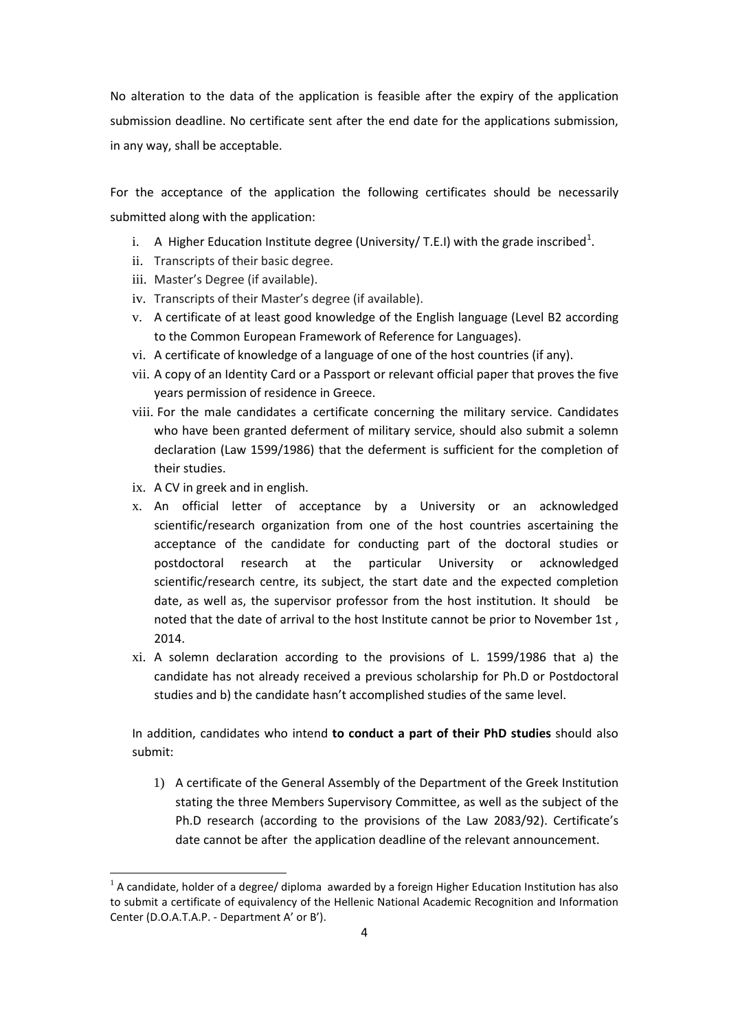No alteration to the data of the application is feasible after the expiry of the application submission deadline. No certificate sent after the end date for the applications submission, in any way, shall be acceptable.

For the acceptance of the application the following certificates should be necessarily submitted along with the application:

- i. A Higher Education Institute degree (University/ T.E.I) with the grade inscribed<sup>[1](#page-3-0)</sup>.
- ii. Transcripts of their basic degree.
- iii. Master's Degree (if available).
- iv. Transcripts of their Master's degree (if available).
- v. A certificate of at least good knowledge of the English language (Level B2 according to the Common European Framework of Reference for Languages).
- vi. A certificate of knowledge of a language of one of the host countries (if any).
- vii. A copy of an Identity Card or a Passport or relevant official paper that proves the five years permission of residence in Greece.
- viii. For the male candidates a certificate concerning the military service. Candidates who have been granted deferment of military service, should also submit a solemn declaration (Law 1599/1986) that the deferment is sufficient for the completion of their studies.
- ix. A CV in greek and in english.

**.** 

- x. An official letter of acceptance by a University or an acknowledged scientific/research organization from one of the host countries ascertaining the acceptance of the candidate for conducting part of the doctoral studies or postdoctoral research at the particular University or acknowledged scientific/research centre, its subject, the start date and the expected completion date, as well as, the supervisor professor from the host institution. It should be noted that the date of arrival to the host Institute cannot be prior to November 1st , 2014.
- xi. A solemn declaration according to the provisions of L. 1599/1986 that a) the candidate has not already received a previous scholarship for Ph.D or Postdoctoral studies and b) the candidate hasn't accomplished studies of the same level.

In addition, candidates who intend **to conduct a part of their PhD studies** should also submit:

1) A certificate of the General Assembly of the Department of the Greek Institution stating the three Members Supervisory Committee, as well as the subject of the Ph.D research (according to the provisions of the Law 2083/92). Certificate's date cannot be after the application deadline of the relevant announcement.

<span id="page-3-0"></span> $<sup>1</sup>$  A candidate, holder of a degree/ diploma awarded by a foreign Higher Education Institution has also</sup> to submit a certificate of equivalency of the Hellenic National Academic Recognition and Information Center (D.O.A.T.A.P. - Department A' or B').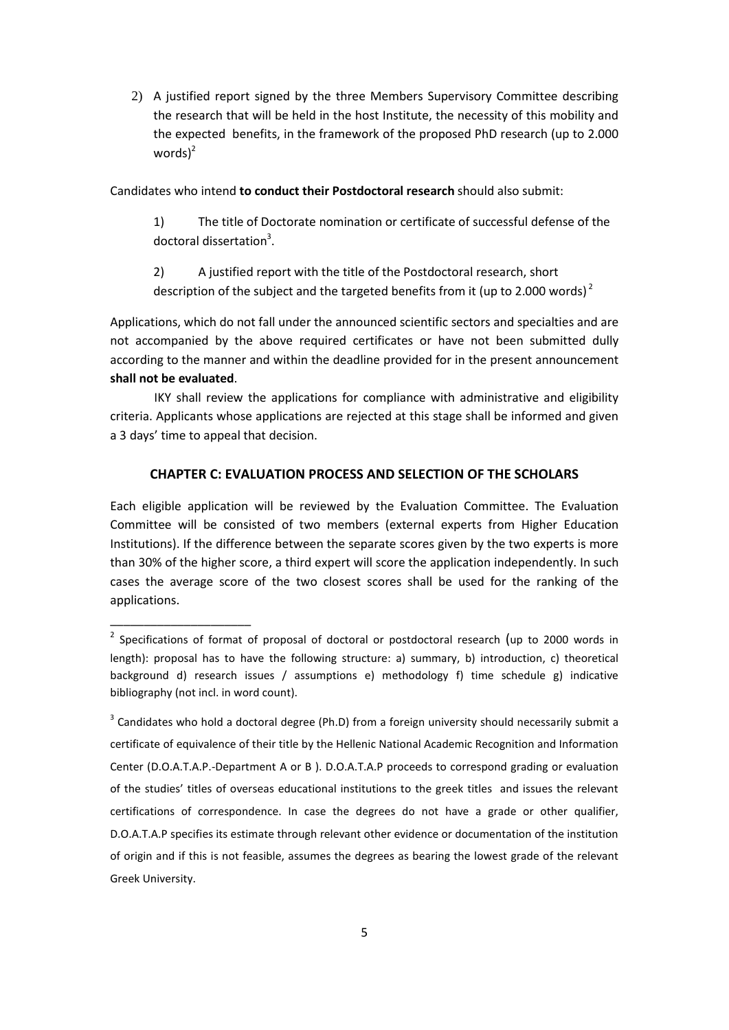2) A justified report signed by the three Members Supervisory Committee describing the research that will be held in the host Institute, the necessity of this mobility and the expected benefits, in the framework of the proposed PhD research (up to 2.000 words) $^2$ 

Candidates who intend **to conduct their Postdoctoral research** should also submit:

1) The title of Doctorate nomination or certificate of successful defense of the doctoral dissertation<sup>3</sup>.

2) A justified report with the title of the Postdoctoral research, short description of the subject and the targeted benefits from it (up to 2.000 words)<sup>2</sup>

Applications, which do not fall under the announced scientific sectors and specialties and are not accompanied by the above required certificates or have not been submitted dully according to the manner and within the deadline provided for in the present announcement **shall not be evaluated**.

IKY shall review the applications for compliance with administrative and eligibility criteria. Applicants whose applications are rejected at this stage shall be informed and given a 3 days' time to appeal that decision.

#### **CHAPTER C: EVALUATION PROCESS AND SELECTION OF THE SCHOLARS**

Each eligible application will be reviewed by the Evaluation Committee. The Evaluation Committee will be consisted of two members (external experts from Higher Education Institutions). If the difference between the separate scores given by the two experts is more than 30% of the higher score, a third expert will score the application independently. In such cases the average score of the two closest scores shall be used for the ranking of the applications.

\_\_\_\_\_\_\_\_\_\_\_\_\_\_\_\_\_\_\_\_\_

<sup>&</sup>lt;sup>2</sup> Specifications of format of proposal of doctoral or postdoctoral research (up to 2000 words in length): proposal has to have the following structure: a) summary, b) introduction, c) theoretical background d) research issues / assumptions e) methodology f) time schedule g) indicative bibliography (not incl. in word count).

 $3$  Candidates who hold a doctoral degree (Ph.D) from a foreign university should necessarily submit a certificate of equivalence of their title by the Hellenic National Academic Recognition and Information Center (D.O.A.T.A.P.-Department A or B ). D.O.A.T.A.P proceeds to correspond grading or evaluation of the studies' titles of overseas educational institutions to the greek titles and issues the relevant certifications of correspondence. In case the degrees do not have a grade or other qualifier, D.O.A.T.A.P specifies its estimate through relevant other evidence or documentation of the institution of origin and if this is not feasible, assumes the degrees as bearing the lowest grade of the relevant Greek University.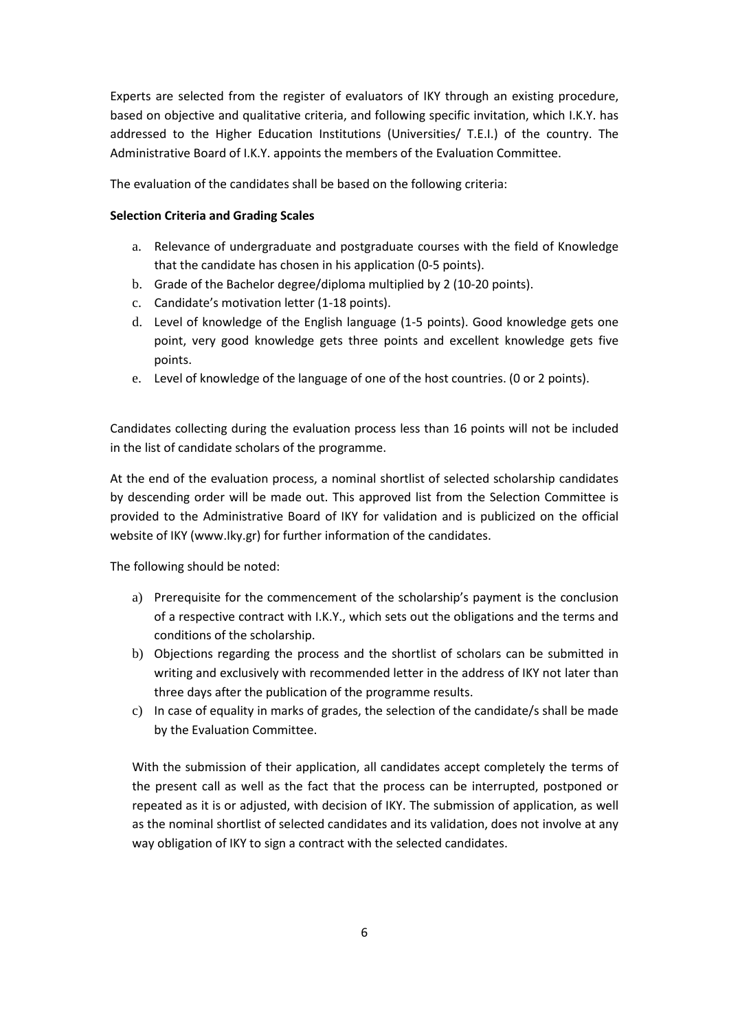Experts are selected from the register of evaluators of IKY through an existing procedure, based on objective and qualitative criteria, and following specific invitation, which I.K.Y. has addressed to the Higher Education Institutions (Universities/ T.E.I.) of the country. The Administrative Board of I.K.Y. appoints the members of the Evaluation Committee.

The evaluation of the candidates shall be based on the following criteria:

## **Selection Criteria and Grading Scales**

- a. Relevance of undergraduate and postgraduate courses with the field of Knowledge that the candidate has chosen in his application (0-5 points).
- b. Grade of the Bachelor degree/diploma multiplied by 2 (10-20 points).
- c. Candidate's motivation letter (1-18 points).
- d. Level of knowledge of the English language (1-5 points). Good knowledge gets one point, very good knowledge gets three points and excellent knowledge gets five points.
- e. Level of knowledge of the language of one of the host countries. (0 or 2 points).

Candidates collecting during the evaluation process less than 16 points will not be included in the list of candidate scholars of the programme.

At the end of the evaluation process, a nominal shortlist of selected scholarship candidates by descending order will be made out. This approved list from the Selection Committee is provided to the Administrative Board of IKY for validation and is publicized on the official website of IKY (www.Iky.gr) for further information of the candidates.

The following should be noted:

- a) Prerequisite for the commencement of the scholarship's payment is the conclusion of a respective contract with I.K.Y., which sets out the obligations and the terms and conditions of the scholarship.
- b) Objections regarding the process and the shortlist of scholars can be submitted in writing and exclusively with recommended letter in the address of IKY not later than three days after the publication of the programme results.
- c) In case of equality in marks of grades, the selection of the candidate/s shall be made by the Evaluation Committee.

With the submission of their application, all candidates accept completely the terms of the present call as well as the fact that the process can be interrupted, postponed or repeated as it is or adjusted, with decision of IKY. The submission of application, as well as the nominal shortlist of selected candidates and its validation, does not involve at any way obligation of IKY to sign a contract with the selected candidates.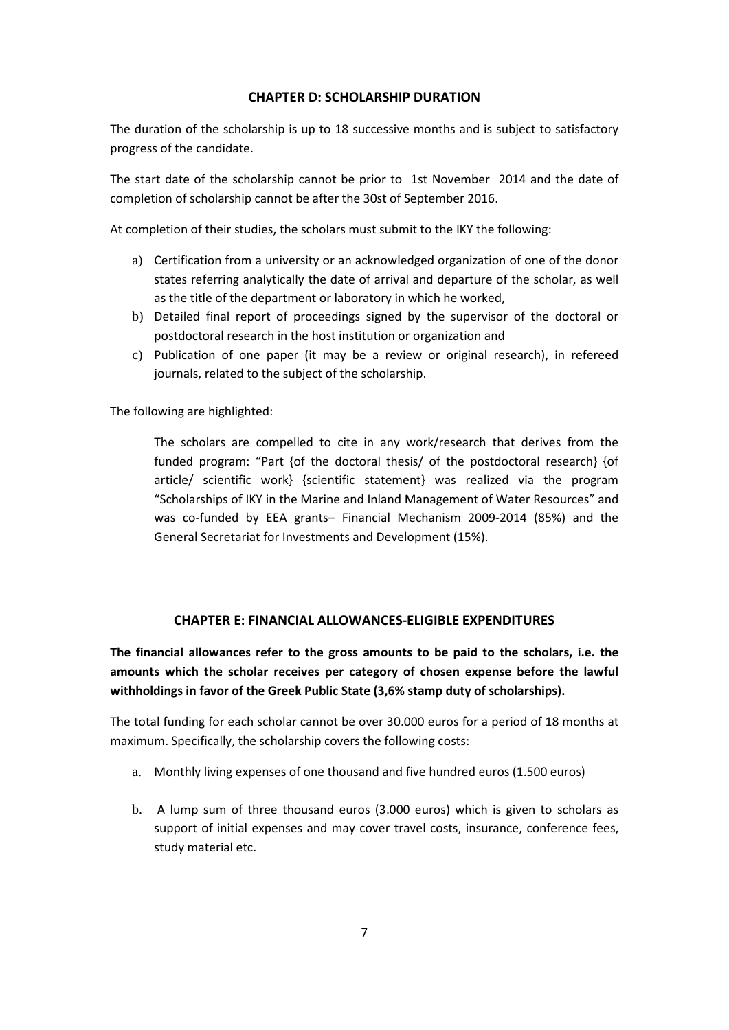### **CHAPTER D: SCHOLARSHIP DURATION**

The duration of the scholarship is up to 18 successive months and is subject to satisfactory progress of the candidate.

The start date of the scholarship cannot be prior to 1st November 2014 and the date of completion of scholarship cannot be after the 30st of September 2016.

At completion of their studies, the scholars must submit to the IKY the following:

- a) Certification from a university or an acknowledged organization of one of the donor states referring analytically the date of arrival and departure of the scholar, as well as the title of the department or laboratory in which he worked,
- b) Detailed final report of proceedings signed by the supervisor of the doctoral or postdoctoral research in the host institution or organization and
- c) Publication of one paper (it may be a review or original research), in refereed journals, related to the subject of the scholarship.

The following are highlighted:

The scholars are compelled to cite in any work/research that derives from the funded program: "Part {of the doctoral thesis/ of the postdoctoral research} {of article/ scientific work} {scientific statement} was realized via the program "Scholarships of IKY in the Marine and Inland Management of Water Resources" and was co-funded by EEA grants– Financial Mechanism 2009-2014 (85%) and the General Secretariat for Investments and Development (15%).

### **CHAPTER E: FINANCIAL ALLOWANCES-ELIGIBLE EXPENDITURES**

**The financial allowances refer to the gross amounts to be paid to the scholars, i.e. the amounts which the scholar receives per category of chosen expense before the lawful withholdings in favor of the Greek Public State (3,6% stamp duty of scholarships).**

The total funding for each scholar cannot be over 30.000 euros for a period of 18 months at maximum. Specifically, the scholarship covers the following costs:

- a. Monthly living expenses of one thousand and five hundred euros (1.500 euros)
- b. A lump sum of three thousand euros (3.000 euros) which is given to scholars as support of initial expenses and may cover travel costs, insurance, conference fees, study material etc.